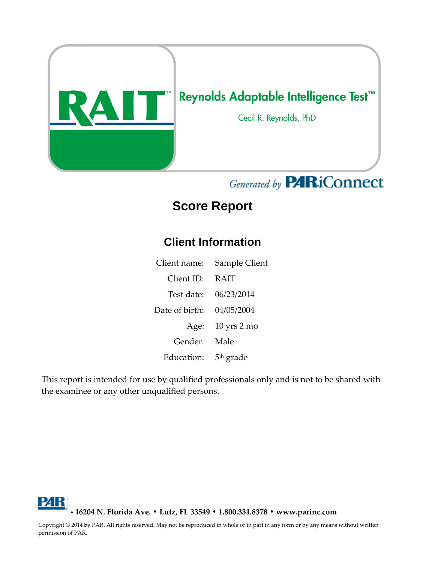

# Generated by **PARiConnect**

# **Score Report**

### **Client Information**

Client name: Sample Client Client ID: RAIT Test date: 06/23/2014 Date of birth: 04/05/2004 Age: 10 yrs 2 mo Gender: Male Education: 5<sup>th</sup> grade

This report is intended for use by qualified professionals only and is not to be shared with the examinee or any other unqualified persons.

Р4К • **16204 N. Florida Ave. • Lutz, FL 33549 • 1.800.331.8378 • www.parinc.com**

Copyright © 2014 by PAR. All rights reserved. May not be reproduced in whole or in part in any form or by any means without written permission of PAR.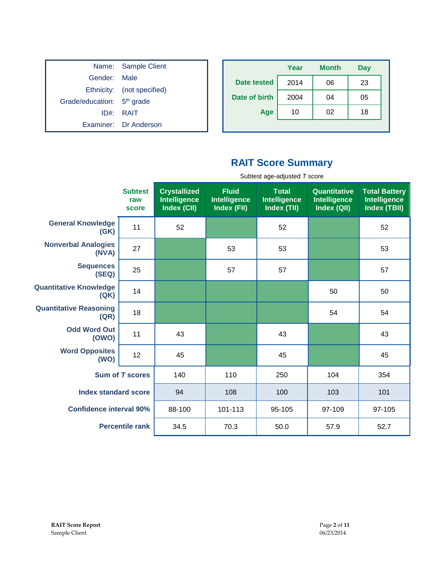|                                        | Name: Sample Client        |
|----------------------------------------|----------------------------|
| Gender: Male                           |                            |
|                                        | Ethnicity: (not specified) |
| Grade/education: 5 <sup>th</sup> grade |                            |
|                                        | ID#: RAIT                  |
|                                        | Examiner: Dr Anderson      |

|                    | Year | <b>Month</b> | <b>Day</b> |
|--------------------|------|--------------|------------|
| <b>Date tested</b> | 2014 | 06           | 23         |
| Date of birth      | 2004 | 04           | 05         |
| Age                | 10   | 02           | 18         |
|                    |      |              |            |

#### **RAIT Score Summary**

|                                       |                                | Subtest age-adjusted T score                              |                                             |                                                    |                                             |                                                      |
|---------------------------------------|--------------------------------|-----------------------------------------------------------|---------------------------------------------|----------------------------------------------------|---------------------------------------------|------------------------------------------------------|
|                                       | <b>Subtest</b><br>raw<br>score | <b>Crystallized</b><br><b>Intelligence</b><br>Index (CII) | <b>Fluid</b><br>Intelligence<br>Index (FII) | <b>Total</b><br><b>Intelligence</b><br>Index (TII) | Quantitative<br>Intelligence<br>Index (QII) | <b>Total Battery</b><br>Intelligence<br>Index (TBII) |
| <b>General Knowledge</b><br>(GK)      | 11                             | 52                                                        |                                             | 52                                                 |                                             | 52                                                   |
| <b>Nonverbal Analogies</b><br>(NVA)   | 27                             |                                                           | 53                                          | 53                                                 |                                             | 53                                                   |
| <b>Sequences</b><br>(SEQ)             | 25                             |                                                           | 57                                          | 57                                                 |                                             | 57                                                   |
| <b>Quantitative Knowledge</b><br>(QK) | 14                             |                                                           |                                             |                                                    | 50                                          | 50                                                   |
| <b>Quantitative Reasoning</b><br>(QR) | 18                             |                                                           |                                             |                                                    | 54                                          | 54                                                   |
| <b>Odd Word Out</b><br>(OWO)          | 11                             | 43                                                        |                                             | 43                                                 |                                             | 43                                                   |
| <b>Word Opposites</b><br>(WO)         | 12                             | 45                                                        |                                             | 45                                                 |                                             | 45                                                   |
|                                       | <b>Sum of T scores</b>         | 140                                                       | 110                                         | 250                                                | 104                                         | 354                                                  |
| <b>Index standard score</b>           |                                | 94                                                        | 108                                         | 100                                                | 103                                         | 101                                                  |
| <b>Confidence interval 90%</b>        |                                | 88-100                                                    | 101-113                                     | 95-105                                             | 97-109                                      | 97-105                                               |
|                                       | <b>Percentile rank</b>         | 34.5                                                      | 70.3                                        | 50.0                                               | 57.9                                        | 52.7                                                 |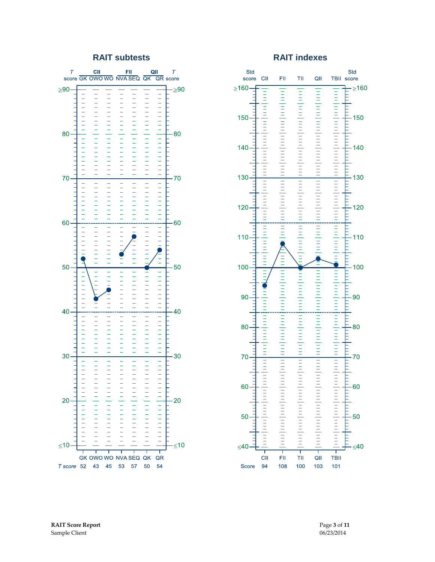#### **RAIT subtests RAIT indexes**



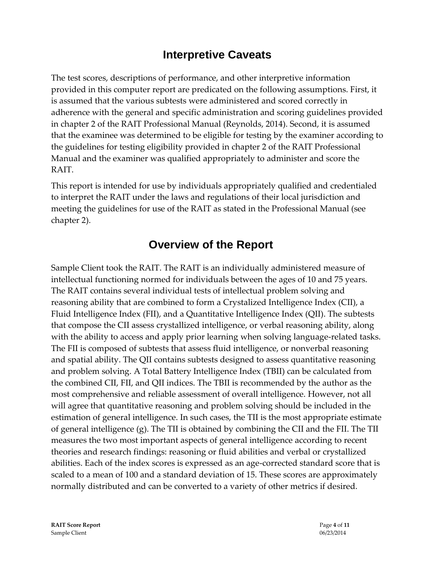#### **Interpretive Caveats**

The test scores, descriptions of performance, and other interpretive information provided in this computer report are predicated on the following assumptions. First, it is assumed that the various subtests were administered and scored correctly in adherence with the general and specific administration and scoring guidelines provided in chapter 2 of the RAIT Professional Manual (Reynolds, 2014). Second, it is assumed that the examinee was determined to be eligible for testing by the examiner according to the guidelines for testing eligibility provided in chapter 2 of the RAIT Professional Manual and the examiner was qualified appropriately to administer and score the RAIT.

This report is intended for use by individuals appropriately qualified and credentialed to interpret the RAIT under the laws and regulations of their local jurisdiction and meeting the guidelines for use of the RAIT as stated in the Professional Manual (see chapter 2).

### **Overview of the Report**

Sample Client took the RAIT. The RAIT is an individually administered measure of intellectual functioning normed for individuals between the ages of 10 and 75 years. The RAIT contains several individual tests of intellectual problem solving and reasoning ability that are combined to form a Crystalized Intelligence Index (CII), a Fluid Intelligence Index (FII), and a Quantitative Intelligence Index (QII). The subtests that compose the CII assess crystallized intelligence, or verbal reasoning ability, along with the ability to access and apply prior learning when solving language-related tasks. The FII is composed of subtests that assess fluid intelligence, or nonverbal reasoning and spatial ability. The QII contains subtests designed to assess quantitative reasoning and problem solving. A Total Battery Intelligence Index (TBII) can be calculated from the combined CII, FII, and QII indices. The TBII is recommended by the author as the most comprehensive and reliable assessment of overall intelligence. However, not all will agree that quantitative reasoning and problem solving should be included in the estimation of general intelligence. In such cases, the TII is the most appropriate estimate of general intelligence (g). The TII is obtained by combining the CII and the FII. The TII measures the two most important aspects of general intelligence according to recent theories and research findings: reasoning or fluid abilities and verbal or crystallized abilities. Each of the index scores is expressed as an age-corrected standard score that is scaled to a mean of 100 and a standard deviation of 15. These scores are approximately normally distributed and can be converted to a variety of other metrics if desired.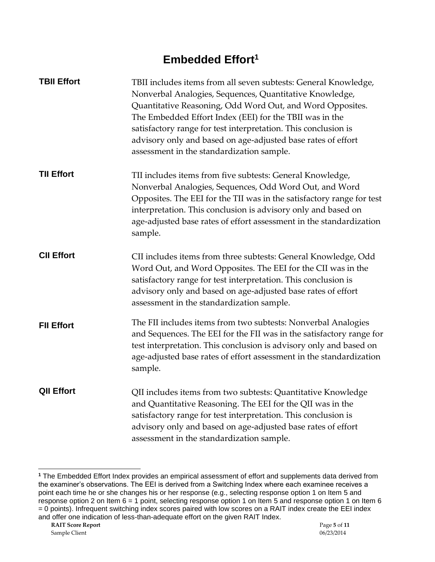## **Embedded Effort<sup>1</sup>**

| <b>TBII Effort</b> | TBII includes items from all seven subtests: General Knowledge,<br>Nonverbal Analogies, Sequences, Quantitative Knowledge,<br>Quantitative Reasoning, Odd Word Out, and Word Opposites.<br>The Embedded Effort Index (EEI) for the TBII was in the<br>satisfactory range for test interpretation. This conclusion is<br>advisory only and based on age-adjusted base rates of effort<br>assessment in the standardization sample. |
|--------------------|-----------------------------------------------------------------------------------------------------------------------------------------------------------------------------------------------------------------------------------------------------------------------------------------------------------------------------------------------------------------------------------------------------------------------------------|
| <b>TII Effort</b>  | TII includes items from five subtests: General Knowledge,<br>Nonverbal Analogies, Sequences, Odd Word Out, and Word<br>Opposites. The EEI for the TII was in the satisfactory range for test<br>interpretation. This conclusion is advisory only and based on<br>age-adjusted base rates of effort assessment in the standardization<br>sample.                                                                                   |
| <b>CII Effort</b>  | CII includes items from three subtests: General Knowledge, Odd<br>Word Out, and Word Opposites. The EEI for the CII was in the<br>satisfactory range for test interpretation. This conclusion is<br>advisory only and based on age-adjusted base rates of effort<br>assessment in the standardization sample.                                                                                                                     |
| <b>FII Effort</b>  | The FII includes items from two subtests: Nonverbal Analogies<br>and Sequences. The EEI for the FII was in the satisfactory range for<br>test interpretation. This conclusion is advisory only and based on<br>age-adjusted base rates of effort assessment in the standardization<br>sample.                                                                                                                                     |
| <b>QII Effort</b>  | QII includes items from two subtests: Quantitative Knowledge<br>and Quantitative Reasoning. The EEI for the QII was in the<br>satisfactory range for test interpretation. This conclusion is<br>advisory only and based on age-adjusted base rates of effort<br>assessment in the standardization sample.                                                                                                                         |

l

**<sup>1</sup>** The Embedded Effort Index provides an empirical assessment of effort and supplements data derived from the examiner's observations. The EEI is derived from a Switching Index where each examinee receives a point each time he or she changes his or her response (e.g., selecting response option 1 on Item 5 and response option 2 on Item 6 = 1 point, selecting response option 1 on Item 5 and response option 1 on Item 6 = 0 points). Infrequent switching index scores paired with low scores on a RAIT index create the EEI index and offer one indication of less-than-adequate effort on the given RAIT Index.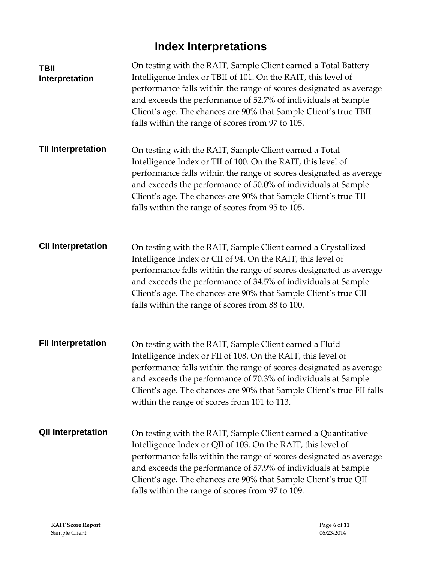# **Index Interpretations**

| <b>TBII</b><br>Interpretation | On testing with the RAIT, Sample Client earned a Total Battery<br>Intelligence Index or TBII of 101. On the RAIT, this level of<br>performance falls within the range of scores designated as average<br>and exceeds the performance of 52.7% of individuals at Sample<br>Client's age. The chances are 90% that Sample Client's true TBII<br>falls within the range of scores from 97 to 105. |
|-------------------------------|------------------------------------------------------------------------------------------------------------------------------------------------------------------------------------------------------------------------------------------------------------------------------------------------------------------------------------------------------------------------------------------------|
| <b>TII Interpretation</b>     | On testing with the RAIT, Sample Client earned a Total<br>Intelligence Index or TII of 100. On the RAIT, this level of<br>performance falls within the range of scores designated as average<br>and exceeds the performance of 50.0% of individuals at Sample<br>Client's age. The chances are 90% that Sample Client's true TII<br>falls within the range of scores from 95 to 105.           |
| <b>CII Interpretation</b>     | On testing with the RAIT, Sample Client earned a Crystallized<br>Intelligence Index or CII of 94. On the RAIT, this level of<br>performance falls within the range of scores designated as average<br>and exceeds the performance of 34.5% of individuals at Sample<br>Client's age. The chances are 90% that Sample Client's true CII<br>falls within the range of scores from 88 to 100.     |
| <b>FII Interpretation</b>     | On testing with the RAIT, Sample Client earned a Fluid<br>Intelligence Index or FII of 108. On the RAIT, this level of<br>performance falls within the range of scores designated as average<br>and exceeds the performance of 70.3% of individuals at Sample<br>Client's age. The chances are 90% that Sample Client's true FII falls<br>within the range of scores from 101 to 113.          |
| <b>QII Interpretation</b>     | On testing with the RAIT, Sample Client earned a Quantitative<br>Intelligence Index or QII of 103. On the RAIT, this level of<br>performance falls within the range of scores designated as average<br>and exceeds the performance of 57.9% of individuals at Sample<br>Client's age. The chances are 90% that Sample Client's true QII<br>falls within the range of scores from 97 to 109.    |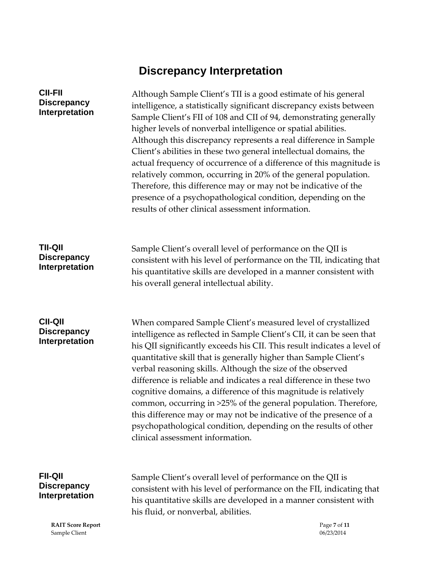# **Discrepancy Interpretation**

| <b>CII-FII</b><br><b>Discrepancy</b><br>Interpretation        | Although Sample Client's TII is a good estimate of his general<br>intelligence, a statistically significant discrepancy exists between<br>Sample Client's FII of 108 and CII of 94, demonstrating generally<br>higher levels of nonverbal intelligence or spatial abilities.<br>Although this discrepancy represents a real difference in Sample<br>Client's abilities in these two general intellectual domains, the<br>actual frequency of occurrence of a difference of this magnitude is<br>relatively common, occurring in 20% of the general population.<br>Therefore, this difference may or may not be indicative of the<br>presence of a psychopathological condition, depending on the<br>results of other clinical assessment information. |
|---------------------------------------------------------------|-------------------------------------------------------------------------------------------------------------------------------------------------------------------------------------------------------------------------------------------------------------------------------------------------------------------------------------------------------------------------------------------------------------------------------------------------------------------------------------------------------------------------------------------------------------------------------------------------------------------------------------------------------------------------------------------------------------------------------------------------------|
| <b>TII-QII</b><br><b>Discrepancy</b><br>Interpretation        | Sample Client's overall level of performance on the QII is<br>consistent with his level of performance on the TII, indicating that<br>his quantitative skills are developed in a manner consistent with<br>his overall general intellectual ability.                                                                                                                                                                                                                                                                                                                                                                                                                                                                                                  |
| <b>CII-QII</b><br><b>Discrepancy</b><br><b>Interpretation</b> | When compared Sample Client's measured level of crystallized<br>intelligence as reflected in Sample Client's CII, it can be seen that<br>his QII significantly exceeds his CII. This result indicates a level of<br>quantitative skill that is generally higher than Sample Client's<br>verbal reasoning skills. Although the size of the observed<br>difference is reliable and indicates a real difference in these two<br>cognitive domains, a difference of this magnitude is relatively<br>common, occurring in >25% of the general population. Therefore,<br>this difference may or may not be indicative of the presence of a<br>psychopathological condition, depending on the results of other<br>clinical assessment information.           |
| <b>FII-QII</b><br><b>Discrepancy</b><br>Interpretation        | Sample Client's overall level of performance on the QII is<br>consistent with his level of performance on the FII, indicating that<br>his quantitative skills are developed in a manner consistent with<br>his fluid, or nonverbal, abilities.                                                                                                                                                                                                                                                                                                                                                                                                                                                                                                        |

**RAIT Score Report** Page **7** of **11** Sample Client 06/23/2014 Sample Client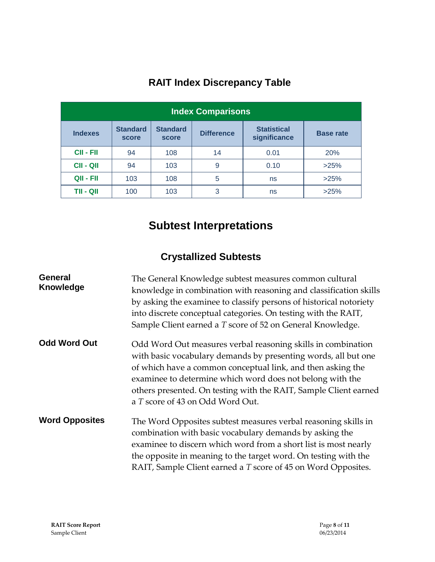| <b>Index Comparisons</b> |                          |                          |                   |                                    |                  |
|--------------------------|--------------------------|--------------------------|-------------------|------------------------------------|------------------|
| <b>Indexes</b>           | <b>Standard</b><br>score | <b>Standard</b><br>score | <b>Difference</b> | <b>Statistical</b><br>significance | <b>Base rate</b> |
| <b>CII - FII</b>         | 94                       | 108                      | 14                | 0.01                               | 20%              |
| <b>CII - QII</b>         | 94                       | 103                      | 9                 | 0.10                               | >25%             |
| QII - FII                | 103                      | 108                      | 5                 | ns                                 | >25%             |
| TII - QII                | 100                      | 103                      | 3                 | ns                                 | >25%             |

## **RAIT Index Discrepancy Table**

# **Subtest Interpretations**

#### **Crystallized Subtests**

| <b>General</b><br><b>Knowledge</b> | The General Knowledge subtest measures common cultural<br>knowledge in combination with reasoning and classification skills<br>by asking the examinee to classify persons of historical notoriety<br>into discrete conceptual categories. On testing with the RAIT,<br>Sample Client earned a T score of 52 on General Knowledge.                                  |
|------------------------------------|--------------------------------------------------------------------------------------------------------------------------------------------------------------------------------------------------------------------------------------------------------------------------------------------------------------------------------------------------------------------|
| <b>Odd Word Out</b>                | Odd Word Out measures verbal reasoning skills in combination<br>with basic vocabulary demands by presenting words, all but one<br>of which have a common conceptual link, and then asking the<br>examinee to determine which word does not belong with the<br>others presented. On testing with the RAIT, Sample Client earned<br>a T score of 43 on Odd Word Out. |
| <b>Word Opposites</b>              | The Word Opposites subtest measures verbal reasoning skills in<br>combination with basic vocabulary demands by asking the<br>examinee to discern which word from a short list is most nearly<br>the opposite in meaning to the target word. On testing with the<br>RAIT, Sample Client earned a T score of 45 on Word Opposites.                                   |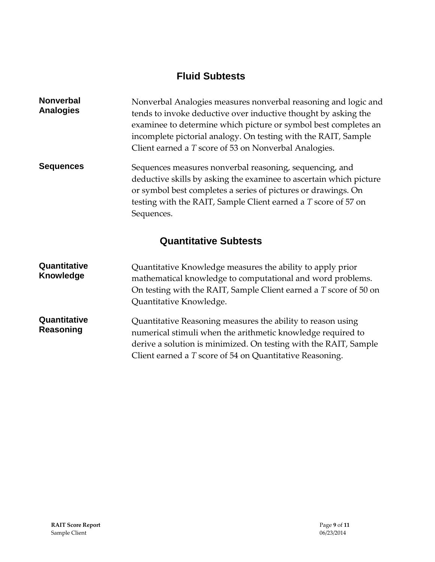#### **Fluid Subtests**

| <b>Nonverbal</b><br><b>Analogies</b> | Nonverbal Analogies measures nonverbal reasoning and logic and<br>tends to invoke deductive over inductive thought by asking the<br>examinee to determine which picture or symbol best completes an<br>incomplete pictorial analogy. On testing with the RAIT, Sample<br>Client earned a T score of 53 on Nonverbal Analogies. |
|--------------------------------------|--------------------------------------------------------------------------------------------------------------------------------------------------------------------------------------------------------------------------------------------------------------------------------------------------------------------------------|
| <b>Sequences</b>                     | Sequences measures nonverbal reasoning, sequencing, and<br>deductive skills by asking the examinee to ascertain which picture<br>or symbol best completes a series of pictures or drawings. On<br>testing with the RAIT, Sample Client earned a T score of 57 on<br>Sequences.                                                 |
|                                      | <b>Quantitative Subtests</b>                                                                                                                                                                                                                                                                                                   |
| Quantitative<br><b>Knowledge</b>     | Quantitative Knowledge measures the ability to apply prior<br>mathematical knowledge to computational and word problems.<br>On testing with the RAIT, Sample Client earned a T score of 50 on<br>Quantitative Knowledge.                                                                                                       |
| $\bigcap  $                          |                                                                                                                                                                                                                                                                                                                                |

**Quantitative Reasoning** Quantitative Reasoning measures the ability to reason using numerical stimuli when the arithmetic knowledge required to derive a solution is minimized. On testing with the RAIT, Sample Client earned a *T* score of 54 on Quantitative Reasoning.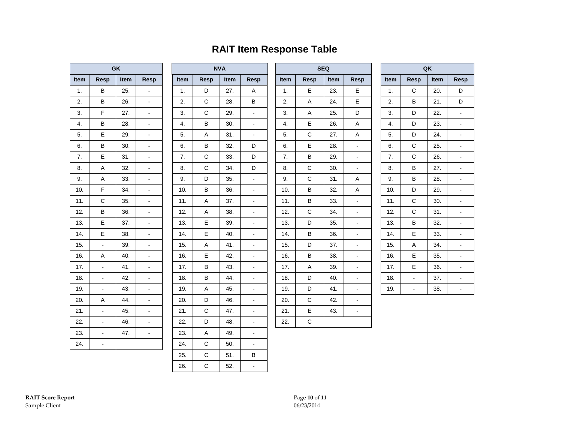#### **RAIT Item Response Table**

| <b>GK</b> |                |             |   |  |
|-----------|----------------|-------------|---|--|
| Item      | Item           | <b>Resp</b> |   |  |
| 1.        | B              | 25.         |   |  |
| 2.        | B              | 26.         |   |  |
| 3.        | F              | 27.         |   |  |
| 4.        | B              | 28.         |   |  |
| 5.        | E              | 29.         | - |  |
| 6.        | B              | 30.         |   |  |
| 7.        | E              | 31.         |   |  |
| 8.        | A              | 32.         |   |  |
| 9.        | A              | 33.         |   |  |
| 10.       | F              | 34.         |   |  |
| 11.       | Ċ              | 35.         |   |  |
| 12.       | B              | 36.         |   |  |
| 13.       | E              | 37.         |   |  |
| 14.       | E              | 38.         |   |  |
| 15.       | $\overline{a}$ | 39.         |   |  |
| 16.       | A              | 40.         |   |  |
| 17.       |                | 41.         |   |  |
| 18.       |                | 42.         |   |  |
| 19.       |                | 43.         |   |  |
| 20.       | A              | 44.         |   |  |
| 21.       |                | 45.         |   |  |
| 22.       |                | 46.         |   |  |
| 23.       |                | 47.         |   |  |
| 24.       |                |             |   |  |

|      |              | <b>NVA</b> |                |  |
|------|--------------|------------|----------------|--|
| Item | <b>Resp</b>  | Item       | Resp           |  |
| 1.   | D            | 27.        | A              |  |
| 2.   | C            | 28.        | В              |  |
| 3.   | C            | 29.        |                |  |
| 4.   | B            | 30.        |                |  |
| 5.   | A            | 31.        |                |  |
| 6.   | B            | 32.        | D              |  |
| 7.   | C            | 33.        | D              |  |
| 8.   | C            | 34.        | D              |  |
| 9.   | D            | 35.        | $\overline{a}$ |  |
| 10.  | B            | 36.        |                |  |
| 11.  | A            | 37.        |                |  |
| 12.  | A            | 38.        |                |  |
| 13.  | E            | 39.        |                |  |
| 14.  | E            | 40.        |                |  |
| 15.  | A            | 41.        |                |  |
| 16.  | E            | 42.        |                |  |
| 17.  | B            | 43.        |                |  |
| 18.  | B            | 44.        |                |  |
| 19.  | A            | 45.        |                |  |
| 20.  | D            | 46.        |                |  |
| 21.  | C            | 47.        |                |  |
| 22.  | D            | 48.        |                |  |
| 23.  | A            | 49.        |                |  |
| 24.  | C            | 50.        |                |  |
| 25.  | $\mathsf{C}$ | 51.        | В              |  |
| 26.  | C            | 52.        |                |  |

|      |             | <b>SEQ</b> |                          |                          |
|------|-------------|------------|--------------------------|--------------------------|
| Item | <b>Resp</b> | Item       | <b>Resp</b>              | Ito                      |
| 1.   | E           | 23.        | E                        | í                        |
| 2.   | A           | 24.        | E                        | $\overline{\phantom{a}}$ |
| 3.   | A           | 25.        | D                        | $\ddot{\phantom{0}}$     |
| 4.   | E           | 26.        | A                        | $\overline{\phantom{a}}$ |
| 5.   | C           | 27.        | A                        | $\ddot{\cdot}$           |
| 6.   | E           | 28.        | $\overline{\phantom{a}}$ | 6                        |
| 7.   | B           | 29.        |                          | Ī                        |
| 8.   | С           | 30.        | $\overline{a}$           | ξ                        |
| 9.   | C           | 31.        | A                        | ļ                        |
| 10.  | B           | 32.        | A                        | 1                        |
| 11.  | B           | 33.        | $\overline{a}$           | 1                        |
| 12.  | C           | 34.        |                          | 1                        |
| 13.  | D           | 35.        |                          | 1                        |
| 14.  | B           | 36.        |                          | 1                        |
| 15.  | D           | 37.        |                          | 1                        |
| 16.  | B           | 38.        |                          | 1                        |
| 17.  | A           | 39.        |                          | 1                        |
| 18.  | D           | 40.        |                          | 1                        |
| 19.  | D           | 41.        | -                        | $\mathbf{1}$             |
| 20.  | C           | 42.        |                          |                          |
| 21.  | E           | 43.        |                          |                          |
| 22.  | С           |            |                          |                          |

| QK   |      |      |             |  |
|------|------|------|-------------|--|
| Item | Resp | Item | <b>Resp</b> |  |
| 1.   | C    | 20.  | D           |  |
| 2.   | B    | 21.  | D           |  |
| 3.   | D    | 22.  |             |  |
| 4.   | D    | 23.  |             |  |
| 5.   | D    | 24.  |             |  |
| 6.   | C    | 25.  |             |  |
| 7.   | C    | 26.  |             |  |
| 8.   | B    | 27.  |             |  |
| 9.   | B    | 28.  |             |  |
| 10.  | D    | 29.  |             |  |
| 11.  | C    | 30.  |             |  |
| 12.  | C    | 31.  |             |  |
| 13.  | B    | 32.  |             |  |
| 14.  | E    | 33.  |             |  |
| 15.  | A    | 34.  |             |  |
| 16.  | E    | 35.  |             |  |
| 17.  | E    | 36.  |             |  |
| 18.  |      | 37.  |             |  |
| 19.  |      | 38.  |             |  |